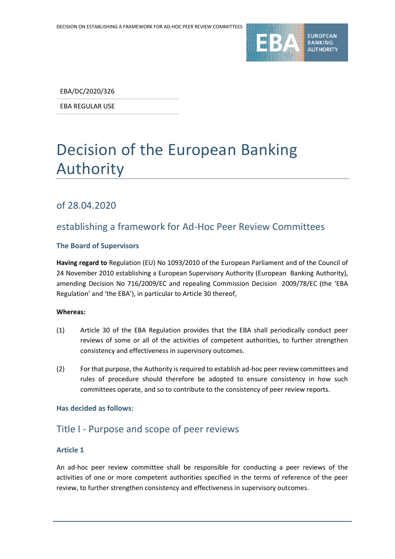

EBA/DC/2020/326

EBA REGULAR USE

# Decision of the European Banking Authority

# of 28.04.2020

# establishing a framework for Ad-Hoc Peer Review Committees

#### **The Board of Supervisors**

**Having regard to** Regulation (EU) No 1093/2010 of the European Parliament and of the Council of 24 November 2010 establishing a European Supervisory Authority (European Banking Authority), amending Decision No 716/2009/EC and repealing Commission Decision 2009/78/EC (the 'EBA Regulation' and 'the EBA'), in particular to Article 30 thereof,

#### **Whereas:**

- (1) Article 30 of the EBA Regulation provides that the EBA shall periodically conduct peer reviews of some or all of the activities of competent authorities, to further strengthen consistency and effectiveness in supervisory outcomes.
- (2) For that purpose, the Authority is required to establish ad-hoc peer review committees and rules of procedure should therefore be adopted to ensure consistency in how such committees operate, and so to contribute to the consistency of peer review reports.

#### **Has decided as follows:**

# Title I - Purpose and scope of peer reviews

### **Article 1**

An ad-hoc peer review committee shall be responsible for conducting a peer reviews of the activities of one or more competent authorities specified in the terms of reference of the peer review, to further strengthen consistency and effectiveness in supervisory outcomes.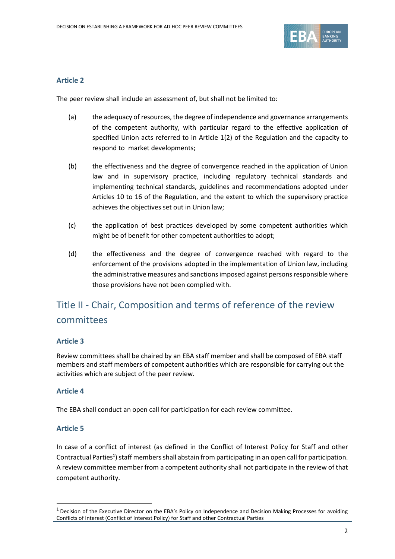

#### **Article 2**

The peer review shall include an assessment of, but shall not be limited to:

- (a) the adequacy of resources, the degree of independence and governance arrangements of the competent authority, with particular regard to the effective application of specified Union acts referred to in Article 1(2) of the Regulation and the capacity to respond to market developments;
- (b) the effectiveness and the degree of convergence reached in the application of Union law and in supervisory practice, including regulatory technical standards and implementing technical standards, guidelines and recommendations adopted under Articles 10 to 16 of the Regulation, and the extent to which the supervisory practice achieves the objectives set out in Union law;
- (c) the application of best practices developed by some competent authorities which might be of benefit for other competent authorities to adopt;
- (d) the effectiveness and the degree of convergence reached with regard to the enforcement of the provisions adopted in the implementation of Union law, including the administrative measures and sanctions imposed against persons responsible where those provisions have not been complied with.

# Title II - Chair, Composition and terms of reference of the review committees

#### **Article 3**

Review committees shall be chaired by an EBA staff member and shall be composed of EBA staff members and staff members of competent authorities which are responsible for carrying out the activities which are subject of the peer review.

### **Article 4**

The EBA shall conduct an open call for participation for each review committee.

### **Article 5**

1

In case of a conflict of interest (as defined in the Conflict of Interest Policy for Staff and other Contractual Parties<sup>1</sup>) staff members shall abstain from participating in an open call for participation. A review committee member from a competent authority shall not participate in the review of that competent authority.

 $1$  Decision of the Executive Director on the EBA's Policy on Independence and Decision Making Processes for avoiding Conflicts of Interest (Conflict of Interest Policy) for Staff and other Contractual Parties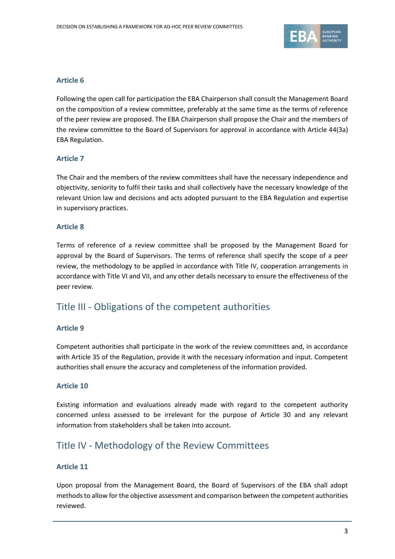

#### **Article 6**

Following the open call for participation the EBA Chairperson shall consult the Management Board on the composition of a review committee, preferably at the same time as the terms of reference of the peer review are proposed. The EBA Chairperson shall propose the Chair and the members of the review committee to the Board of Supervisors for approval in accordance with Article 44(3a) EBA Regulation.

#### **Article 7**

The Chair and the members of the review committees shall have the necessary independence and objectivity, seniority to fulfil their tasks and shall collectively have the necessary knowledge of the relevant Union law and decisions and acts adopted pursuant to the EBA Regulation and expertise in supervisory practices.

#### **Article 8**

Terms of reference of a review committee shall be proposed by the Management Board for approval by the Board of Supervisors. The terms of reference shall specify the scope of a peer review, the methodology to be applied in accordance with Title IV, cooperation arrangements in accordance with Title VI and VII, and any other details necessary to ensure the effectiveness of the peer review.

# Title III - Obligations of the competent authorities

#### **Article 9**

Competent authorities shall participate in the work of the review committees and, in accordance with Article 35 of the Regulation, provide it with the necessary information and input. Competent authorities shall ensure the accuracy and completeness of the information provided.

#### **Article 10**

Existing information and evaluations already made with regard to the competent authority concerned unless assessed to be irrelevant for the purpose of Article 30 and any relevant information from stakeholders shall be taken into account.

# Title IV - Methodology of the Review Committees

### **Article 11**

Upon proposal from the Management Board, the Board of Supervisors of the EBA shall adopt methods to allow for the objective assessment and comparison between the competent authorities reviewed.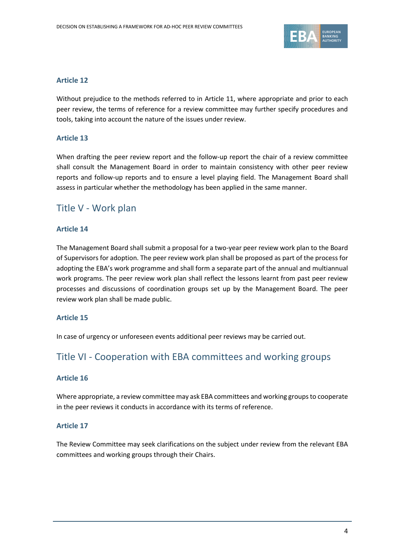

#### **Article 12**

Without prejudice to the methods referred to in Article 11, where appropriate and prior to each peer review, the terms of reference for a review committee may further specify procedures and tools, taking into account the nature of the issues under review.

### **Article 13**

When drafting the peer review report and the follow-up report the chair of a review committee shall consult the Management Board in order to maintain consistency with other peer review reports and follow-up reports and to ensure a level playing field. The Management Board shall assess in particular whether the methodology has been applied in the same manner.

# Title V - Work plan

#### **Article 14**

The Management Board shall submit a proposal for a two-year peer review work plan to the Board of Supervisors for adoption. The peer review work plan shall be proposed as part of the process for adopting the EBA's work programme and shall form a separate part of the annual and multiannual work programs. The peer review work plan shall reflect the lessons learnt from past peer review processes and discussions of coordination groups set up by the Management Board. The peer review work plan shall be made public.

#### **Article 15**

In case of urgency or unforeseen events additional peer reviews may be carried out.

# Title VI - Cooperation with EBA committees and working groups

#### **Article 16**

Where appropriate, a review committee may ask EBA committees and working groups to cooperate in the peer reviews it conducts in accordance with its terms of reference.

### **Article 17**

The Review Committee may seek clarifications on the subject under review from the relevant EBA committees and working groups through their Chairs.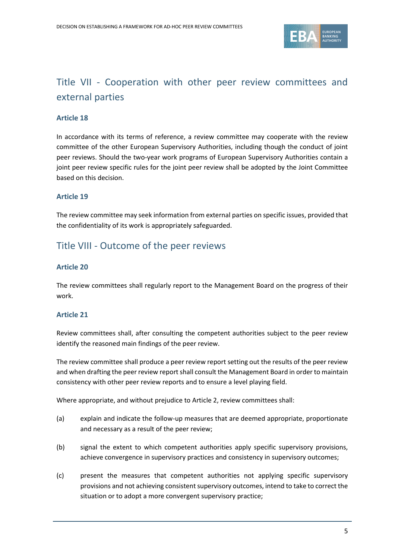

# Title VII - Cooperation with other peer review committees and external parties

#### **Article 18**

In accordance with its terms of reference, a review committee may cooperate with the review committee of the other European Supervisory Authorities, including though the conduct of joint peer reviews. Should the two-year work programs of European Supervisory Authorities contain a joint peer review specific rules for the joint peer review shall be adopted by the Joint Committee based on this decision.

#### **Article 19**

The review committee may seek information from external parties on specific issues, provided that the confidentiality of its work is appropriately safeguarded.

# Title VIII - Outcome of the peer reviews

#### **Article 20**

The review committees shall regularly report to the Management Board on the progress of their work.

#### **Article 21**

Review committees shall, after consulting the competent authorities subject to the peer review identify the reasoned main findings of the peer review.

The review committee shall produce a peer review report setting out the results of the peer review and when drafting the peer review report shall consult the Management Board in order to maintain consistency with other peer review reports and to ensure a level playing field.

Where appropriate, and without prejudice to Article 2, review committees shall:

- (a) explain and indicate the follow-up measures that are deemed appropriate, proportionate and necessary as a result of the peer review;
- (b) signal the extent to which competent authorities apply specific supervisory provisions, achieve convergence in supervisory practices and consistency in supervisory outcomes;
- (c) present the measures that competent authorities not applying specific supervisory provisions and not achieving consistent supervisory outcomes, intend to take to correct the situation or to adopt a more convergent supervisory practice;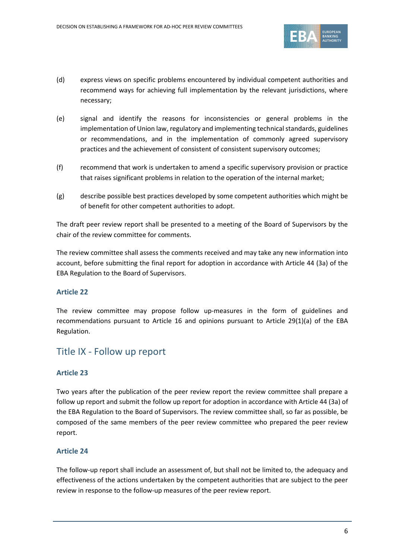

- (d) express views on specific problems encountered by individual competent authorities and recommend ways for achieving full implementation by the relevant jurisdictions, where necessary;
- (e) signal and identify the reasons for inconsistencies or general problems in the implementation of Union law, regulatory and implementing technical standards, guidelines or recommendations, and in the implementation of commonly agreed supervisory practices and the achievement of consistent of consistent supervisory outcomes;
- (f) recommend that work is undertaken to amend a specific supervisory provision or practice that raises significant problems in relation to the operation of the internal market;
- (g) describe possible best practices developed by some competent authorities which might be of benefit for other competent authorities to adopt.

The draft peer review report shall be presented to a meeting of the Board of Supervisors by the chair of the review committee for comments.

The review committee shall assess the comments received and may take any new information into account, before submitting the final report for adoption in accordance with Article 44 (3a) of the EBA Regulation to the Board of Supervisors.

## **Article 22**

The review committee may propose follow up-measures in the form of guidelines and recommendations pursuant to Article 16 and opinions pursuant to Article 29(1)(a) of the EBA Regulation.

# Title IX - Follow up report

### **Article 23**

Two years after the publication of the peer review report the review committee shall prepare a follow up report and submit the follow up report for adoption in accordance with Article 44 (3a) of the EBA Regulation to the Board of Supervisors. The review committee shall, so far as possible, be composed of the same members of the peer review committee who prepared the peer review report.

### **Article 24**

The follow-up report shall include an assessment of, but shall not be limited to, the adequacy and effectiveness of the actions undertaken by the competent authorities that are subject to the peer review in response to the follow-up measures of the peer review report.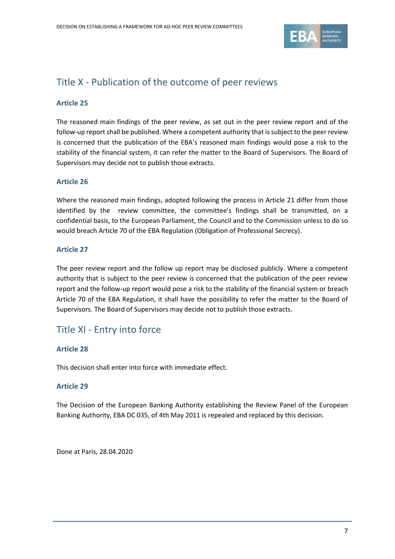

# Title X - Publication of the outcome of peer reviews

### **Article 25**

The reasoned main findings of the peer review, as set out in the peer review report and of the follow-up report shall be published. Where a competent authority that is subject to the peer review is concerned that the publication of the EBA's reasoned main findings would pose a risk to the stability of the financial system, it can refer the matter to the Board of Supervisors. The Board of Supervisors may decide not to publish those extracts.

### **Article 26**

Where the reasoned main findings, adopted following the process in Article 21 differ from those identified by the review committee, the committee's findings shall be transmitted, on a confidential basis, to the European Parliament, the Council and to the Commission unless to do so would breach Article 70 of the EBA Regulation (Obligation of Professional Secrecy).

### **Article 27**

The peer review report and the follow up report may be disclosed publicly. Where a competent authority that is subject to the peer review is concerned that the publication of the peer review report and the follow-up report would pose a risk to the stability of the financial system or breach Article 70 of the EBA Regulation, it shall have the possibility to refer the matter to the Board of Supervisors. The Board of Supervisors may decide not to publish those extracts.

# Title XI - Entry into force

### **Article 28**

This decision shall enter into force with immediate effect.

### **Article 29**

The Decision of the European Banking Authority establishing the Review Panel of the European Banking Authority, EBA DC 035, of 4th May 2011 is repealed and replaced by this decision.

Done at Paris, 28.04.2020